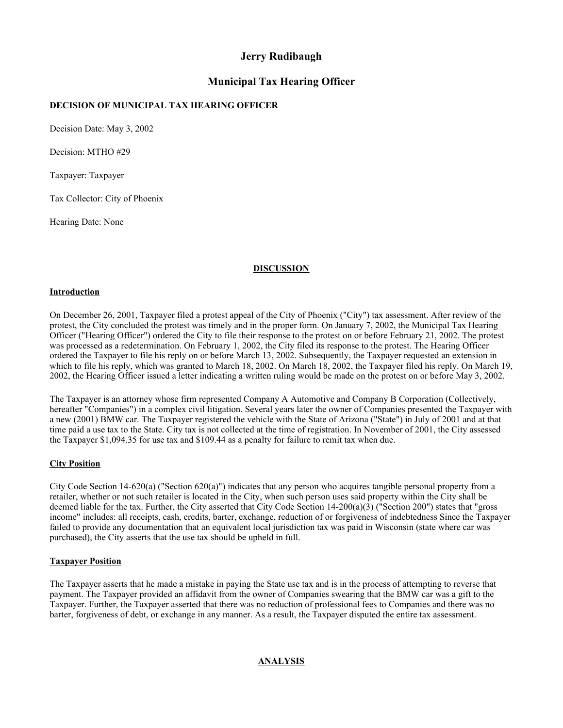## **Jerry Rudibaugh**

# **Municipal Tax Hearing Officer**

## **DECISION OF MUNICIPAL TAX HEARING OFFICER**

Decision Date: May 3, 2002

Decision: MTHO #29

Taxpayer: Taxpayer

Tax Collector: City of Phoenix

Hearing Date: None

## **DISCUSSION**

#### **Introduction**

On December 26, 2001, Taxpayer filed a protest appeal of the City of Phoenix ("City") tax assessment. After review of the protest, the City concluded the protest was timely and in the proper form. On January 7, 2002, the Municipal Tax Hearing Officer ("Hearing Officer") ordered the City to file their response to the protest on or before February 21, 2002. The protest was processed as a redetermination. On February 1, 2002, the City filed its response to the protest. The Hearing Officer ordered the Taxpayer to file his reply on or before March 13, 2002. Subsequently, the Taxpayer requested an extension in which to file his reply, which was granted to March 18, 2002. On March 18, 2002, the Taxpayer filed his reply. On March 19, 2002, the Hearing Officer issued a letter indicating a written ruling would be made on the protest on or before May 3, 2002.

The Taxpayer is an attorney whose firm represented Company A Automotive and Company B Corporation (Collectively, hereafter "Companies") in a complex civil litigation. Several years later the owner of Companies presented the Taxpayer with a new (2001) BMW car. The Taxpayer registered the vehicle with the State of Arizona ("State") in July of 2001 and at that time paid a use tax to the State. City tax is not collected at the time of registration. In November of 2001, the City assessed the Taxpayer \$1,094.35 for use tax and \$109.44 as a penalty for failure to remit tax when due.

### **City Position**

City Code Section 14-620(a) ("Section 620(a)") indicates that any person who acquires tangible personal property from a retailer, whether or not such retailer is located in the City, when such person uses said property within the City shall be deemed liable for the tax. Further, the City asserted that City Code Section 14-200(a)(3) ("Section 200") states that "gross income" includes: all receipts, cash, credits, barter, exchange, reduction of or forgiveness of indebtedness Since the Taxpayer failed to provide any documentation that an equivalent local jurisdiction tax was paid in Wisconsin (state where car was purchased), the City asserts that the use tax should be upheld in full.

### **Taxpayer Position**

The Taxpayer asserts that he made a mistake in paying the State use tax and is in the process of attempting to reverse that payment. The Taxpayer provided an affidavit from the owner of Companies swearing that the BMW car was a gift to the Taxpayer. Further, the Taxpayer asserted that there was no reduction of professional fees to Companies and there was no barter, forgiveness of debt, or exchange in any manner. As a result, the Taxpayer disputed the entire tax assessment.

### **ANALYSIS**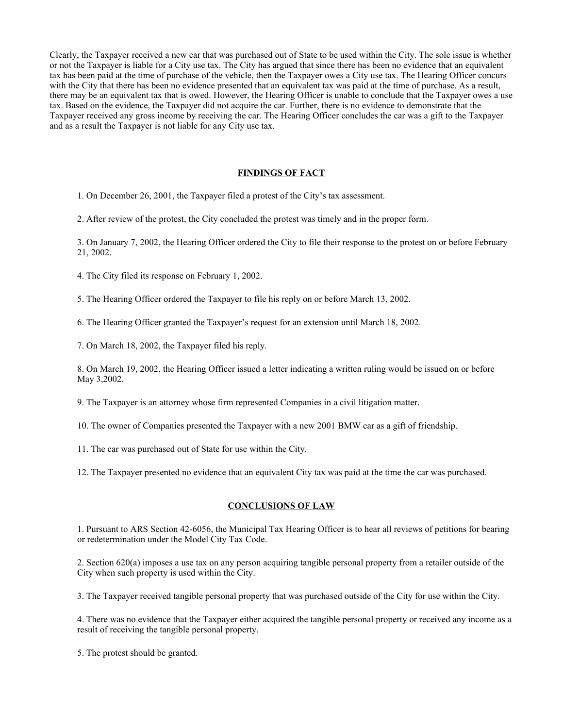Clearly, the Taxpayer received a new car that was purchased out of State to be used within the City. The sole issue is whether or not the Taxpayer is liable for a City use tax. The City has argued that since there has been no evidence that an equivalent tax has been paid at the time of purchase of the vehicle, then the Taxpayer owes a City use tax. The Hearing Officer concurs with the City that there has been no evidence presented that an equivalent tax was paid at the time of purchase. As a result, there may be an equivalent tax that is owed. However, the Hearing Officer is unable to conclude that the Taxpayer owes a use tax. Based on the evidence, the Taxpayer did not acquire the car. Further, there is no evidence to demonstrate that the Taxpayer received any gross income by receiving the car. The Hearing Officer concludes the car was a gift to the Taxpayer and as a result the Taxpayer is not liable for any City use tax.

#### **FINDINGS OF FACT**

1. On December 26, 2001, the Taxpayer filed a protest of the City's tax assessment.

2. After review of the protest, the City concluded the protest was timely and in the proper form.

3. On January 7, 2002, the Hearing Officer ordered the City to file their response to the protest on or before February 21, 2002.

4. The City filed its response on February 1, 2002.

5. The Hearing Officer ordered the Taxpayer to file his reply on or before March 13, 2002.

6. The Hearing Officer granted the Taxpayer's request for an extension until March 18, 2002.

7. On March 18, 2002, the Taxpayer filed his reply.

8. On March 19, 2002, the Hearing Officer issued a letter indicating a written ruling would be issued on or before May 3,2002.

9. The Taxpayer is an attorney whose firm represented Companies in a civil litigation matter.

10. The owner of Companies presented the Taxpayer with a new 2001 BMW car as a gift of friendship.

11. The car was purchased out of State for use within the City.

12. The Taxpayer presented no evidence that an equivalent City tax was paid at the time the car was purchased.

#### **CONCLUSIONS OF LAW**

1. Pursuant to ARS Section 42-6056, the Municipal Tax Hearing Officer is to hear all reviews of petitions for bearing or redetermination under the Model City Tax Code.

2. Section 620(a) imposes a use tax on any person acquiring tangible personal property from a retailer outside of the City when such property is used within the City.

3. The Taxpayer received tangible personal property that was purchased outside of the City for use within the City.

4. There was no evidence that the Taxpayer either acquired the tangible personal property or received any income as a result of receiving the tangible personal property.

5. The protest should be granted.